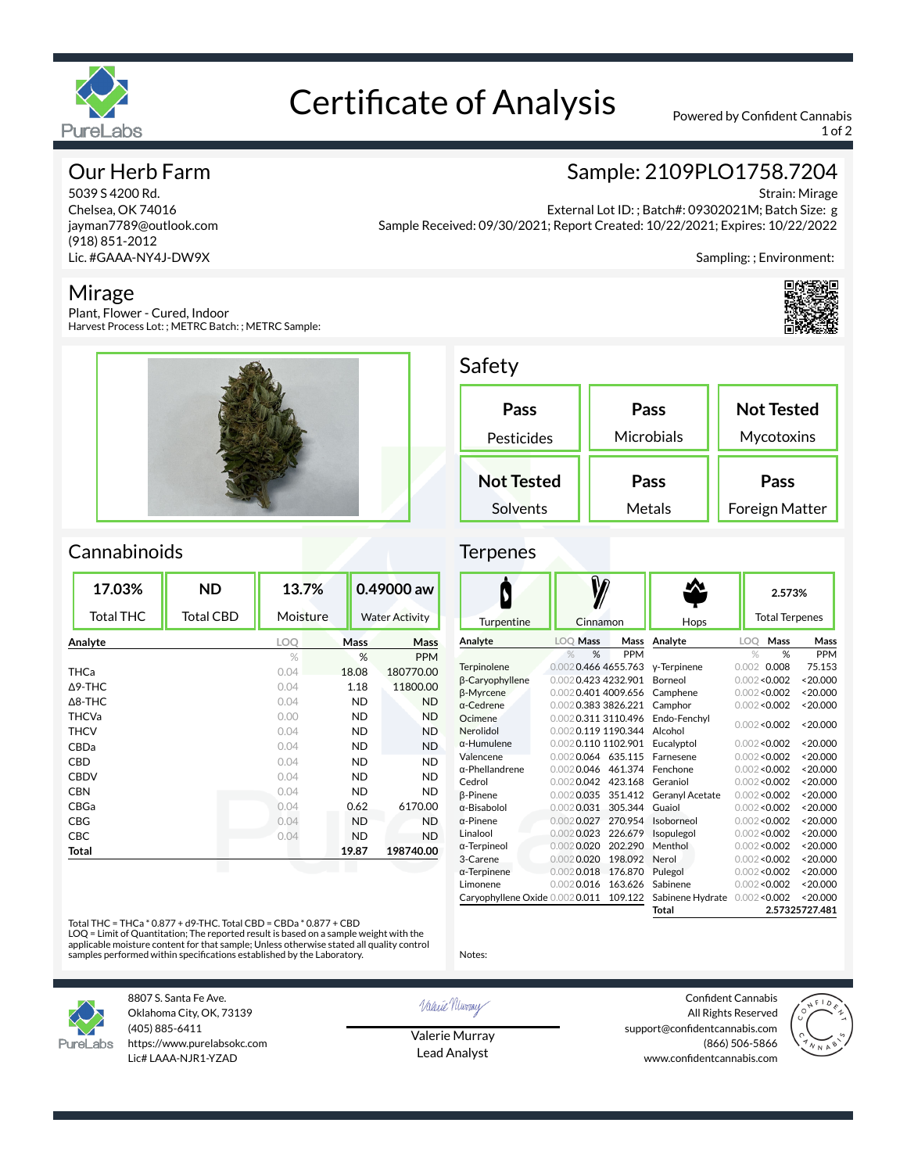

# Certificate of Analysis Powered by Confident Cannabis

1 of 2

Sampling: ; Environment:

Sample: 2109PLO1758.7204

External Lot ID: ; Batch#: 09302021M; Batch Size: g

# Our Herb Farm

5039 S 4200 Rd. Chelsea, OK 74016 jayman7789@outlook.com (918) 851-2012 Lic. #GAAA-NY4J-DW9X

## Mirage

Plant, Flower - Cured, Indoor Harvest Process Lot: ; METRC Batch: ; METRC Sample:



Safety

| Pass              | Pass       | <b>Not Tested</b> |
|-------------------|------------|-------------------|
| Pesticides        | Microbials | Mycotoxins        |
| <b>Not Tested</b> | Pass       | Pass              |
| Solvents          | Metals     | Foreign Matter    |

Sample Received: 09/30/2021; Report Created: 10/22/2021; Expires: 10/22/2022

## **Cannabinoids**

| 17.03%            | <b>ND</b>        | 13.7%      |           | 0.49000 aw            |
|-------------------|------------------|------------|-----------|-----------------------|
| <b>Total THC</b>  | <b>Total CBD</b> | Moisture   |           | <b>Water Activity</b> |
| Analyte           |                  | <b>LOO</b> | Mass      | Mass                  |
|                   |                  | $\%$       | %         | <b>PPM</b>            |
| <b>THCa</b>       |                  | 0.04       | 18.08     | 180770.00             |
| $\Delta$ 9-THC    |                  | 0.04       | 1.18      | 11800.00              |
| $\triangle$ 8-THC |                  | 0.04       | <b>ND</b> | <b>ND</b>             |
| <b>THCVa</b>      |                  | 0.00       | <b>ND</b> | <b>ND</b>             |
| <b>THCV</b>       |                  | 0.04       | <b>ND</b> | <b>ND</b>             |
| CBDa              |                  | 0.04       | <b>ND</b> | <b>ND</b>             |
| <b>CBD</b>        |                  | 0.04       | <b>ND</b> | <b>ND</b>             |
| <b>CBDV</b>       |                  | 0.04       | <b>ND</b> | <b>ND</b>             |
| <b>CBN</b>        |                  | 0.04       | <b>ND</b> | <b>ND</b>             |
| CBGa              |                  | 0.04       | 0.62      | 6170.00               |
| CBG               |                  | 0.04       | <b>ND</b> | <b>ND</b>             |
| <b>CBC</b>        |                  | 0.04       | <b>ND</b> | <b>ND</b>             |
| Total             |                  |            | 19.87     | 198740.00             |
|                   |                  |            |           |                       |

### W  $\blacklozenge$ **2.573%** Total Terpenes Turpentine | Cinnamon | Hop **Analyte LOQ Mass Mass Analyte LOQ Mass Mass** PPM % % PPM Terpinolene 0.0020.466 4655.763 γ-Terpinene 0.002 0.008 75.153 β-Caryophyllene 0.0020.423 4232.901<br>β-Myrcene 0.0020.401 4009.656 Borneol 0.002<0.002 <20.000 β-Myrcene 0.0020.401 4009.656 Camphene<br>
0.0020.383 3826.221 Camphor  $0.002 < 0.002$  <20.000 0.002 0.383 3826.221 Camphor  $0.002 < 0.002$  <20.000 Ocimene 0.0020.311 3110.496 Endo-Fenchyl  $0.002 < 0.002$  <20.000 Nerolidol 0.002 0.119 1190.344 Alcohol α-Humulene 0.0020.110 1102.901  $0.002 < 0.002$  <20.000 Valencene 0.0020.064 635.115 Farnesene 0.002<0.002 <20.000 α-Phellandrene 0.0020.046 461.374 Fenchone<br>Cedrol 0.0020.042 423.168 Geraniol  $0.002 < 0.002$  <20.000  $0.002$  0.042 423.168 Geraniol 0.002<0.002 <20.000 β-Pinene 0.0020.035 351.412 Geranyl Acetate 0.002<0.002 <20.000 α-Bisabolol 0.002 0.031 305.344 Guaiol α-Pinene 0.002 0.027 270.954 Isoborr  $0.002 < 0.002$  <20.000 0.0020.027 270.954 Isoborneol 0.002<0.002 <20.000  $0.002 < 0.002$  <20.000 Linalool 0.002 0.023 226.679 Isopulegol α-Terpineol 0.0020.020 202.290 Menthol 0.002<0.002 <20.000

3-Carene 0.0020.020 198.092 α-Terpinene 0.0020.018 176.870 Limonene 0.0020.016 163.626 Caryophyllene Oxide 0.0020.011 109.122

Total THC = THCa \* 0.877 + d9-THC. Total CBD = CBDa \* 0.877 + CBD

LOQ = Limit of Quantitation; The reported result is based on a sample weight with the applicable moisture content for that sample; Unless otherwise stated all quality control samples performed within specifications established by the Laboratory.



8807 S. Santa Fe Ave. Oklahoma City, OK, 73139 (405) 885-6411 https://www.purelabsokc.com Lic# LAAA-NJR1-YZAD

Valerie Newvay

Notes:

Valerie Murray Lead Analyst

Confident Cannabis All Rights Reserved support@confidentcannabis.com (866) 506-5866 www.confidentcannabis.com

Nerol 0.002<0.002 <20.000 Pulegol 0.002<0.002 <20.000 Sabinene 0.002<0.002 <20.000 Sabinene Hydrate 0.002<0.002 <20.000 **Total 2.57325727.481**





Strain: Mirage



### **Terpenes**